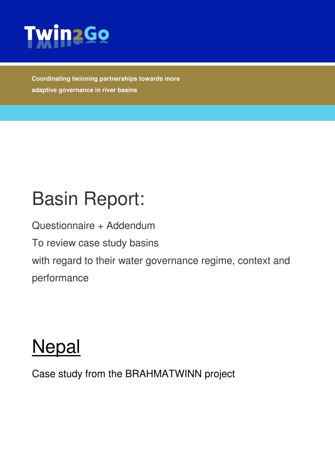

**Coordinating twinning partnerships towards more adaptive governance in river basins** 

# Basin Report:

Questionnaire + Addendum

To review case study basins

with regard to their water governance regime, context and

performance

# **Nepal**

Case study from the BRAHMATWINN project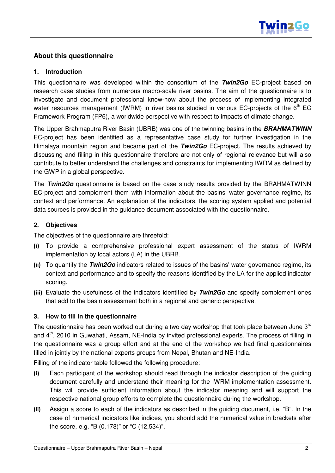

## **About this questionnaire**

#### **1. Introduction**

This questionnaire was developed within the consortium of the **Twin2Go** EC-project based on research case studies from numerous macro-scale river basins. The aim of the questionnaire is to investigate and document professional know-how about the process of implementing integrated water resources management (IWRM) in river basins studied in various EC-projects of the  $6<sup>th</sup>$  EC Framework Program (FP6), a worldwide perspective with respect to impacts of climate change.

The Upper Brahmaputra River Basin (UBRB) was one of the twinning basins in the **BRAHMATWINN** EC-project has been identified as a representative case study for further investigation in the Himalaya mountain region and became part of the **Twin2Go** EC-project. The results achieved by discussing and filling in this questionnaire therefore are not only of regional relevance but will also contribute to better understand the challenges and constraints for implementing IWRM as defined by the GWP in a global perspective.

The **Twin2Go** questionnaire is based on the case study results provided by the BRAHMATWINN EC-project and complement them with information about the basins' water governance regime, its context and performance. An explanation of the indicators, the scoring system applied and potential data sources is provided in the guidance document associated with the questionnaire.

### **2. Objectives**

The objectives of the questionnaire are threefold:

- (i) To provide a comprehensive professional expert assessment of the status of IWRM implementation by local actors (LA) in the UBRB.
- (ii) To quantify the **Twin2Go** indicators related to issues of the basins' water governance regime, its context and performance and to specify the reasons identified by the LA for the applied indicator scoring.
- (iii) Evaluate the usefulness of the indicators identified by **Twin2Go** and specify complement ones that add to the basin assessment both in a regional and generic perspective.

### **3. How to fill in the questionnaire**

The questionnaire has been worked out during a two day workshop that took place between June  $3<sup>rd</sup>$ and 4<sup>th</sup>, 2010 in Guwahati, Assam, NE-India by invited professional experts. The process of filling in the questionnaire was a group effort and at the end of the workshop we had final questionnaires filled in jointly by the national experts groups from Nepal, Bhutan and NE-India.

Filling of the indicator table followed the following procedure:

- (i) Each participant of the workshop should read through the indicator description of the guiding document carefully and understand their meaning for the IWRM implementation assessment. This will provide sufficient information about the indicator meaning and will support the respective national group efforts to complete the questionnaire during the workshop.
- (ii) Assign a score to each of the indicators as described in the guiding document, i.e. "B". In the case of numerical indicators like indices, you should add the numerical value in brackets after the score, e.g. "B (0.178)" or "C (12,534)".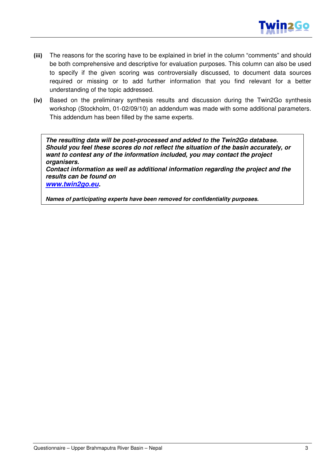

- (iii) The reasons for the scoring have to be explained in brief in the column "comments" and should be both comprehensive and descriptive for evaluation purposes. This column can also be used to specify if the given scoring was controversially discussed, to document data sources required or missing or to add further information that you find relevant for a better understanding of the topic addressed.
- (iv) Based on the preliminary synthesis results and discussion during the Twin2Go synthesis workshop (Stockholm, 01-02/09/10) an addendum was made with some additional parameters. This addendum has been filled by the same experts.

**The resulting data will be post-processed and added to the Twin2Go database. Should you feel these scores do not reflect the situation of the basin accurately, or want to contest any of the information included, you may contact the project organisers.** 

**Contact information as well as additional information regarding the project and the results can be found on** 

**www.twin2go.eu.** 

**Names of participating experts have been removed for confidentiality purposes.**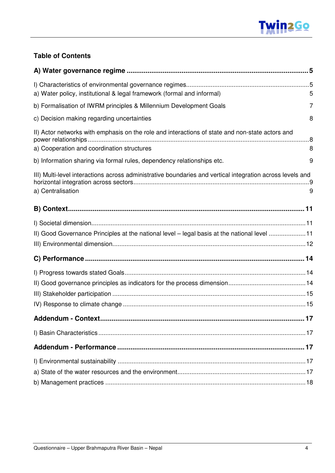

## **Table of Contents**

| a) Water policy, institutional & legal framework (formal and informal)                                                         | 5 |
|--------------------------------------------------------------------------------------------------------------------------------|---|
| b) Formalisation of IWRM principles & Millennium Development Goals                                                             | 7 |
| c) Decision making regarding uncertainties                                                                                     | 8 |
| II) Actor networks with emphasis on the role and interactions of state and non-state actors and                                |   |
| a) Cooperation and coordination structures                                                                                     | 8 |
| b) Information sharing via formal rules, dependency relationships etc.                                                         | 9 |
| III) Multi-level interactions across administrative boundaries and vertical integration across levels and<br>a) Centralisation | 9 |
|                                                                                                                                |   |
|                                                                                                                                |   |
| II) Good Governance Principles at the national level - legal basis at the national level 11                                    |   |
|                                                                                                                                |   |
|                                                                                                                                |   |
|                                                                                                                                |   |
|                                                                                                                                |   |
|                                                                                                                                |   |
|                                                                                                                                |   |
|                                                                                                                                |   |
|                                                                                                                                |   |
|                                                                                                                                |   |
|                                                                                                                                |   |
|                                                                                                                                |   |
|                                                                                                                                |   |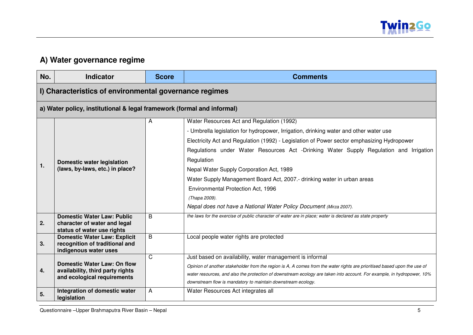

# **A) Water governance regime**

| No. | <b>Indicator</b>                                                       | <b>Score</b> | <b>Comments</b>                                                                                                          |
|-----|------------------------------------------------------------------------|--------------|--------------------------------------------------------------------------------------------------------------------------|
|     | I) Characteristics of environmental governance regimes                 |              |                                                                                                                          |
|     | a) Water policy, institutional & legal framework (formal and informal) |              |                                                                                                                          |
|     |                                                                        | A            | Water Resources Act and Regulation (1992)                                                                                |
|     |                                                                        |              | - Umbrella legislation for hydropower, Irrigation, drinking water and other water use                                    |
|     |                                                                        |              | Electricity Act and Regulation (1992) - Legislation of Power sector emphasizing Hydropower                               |
|     |                                                                        |              | Regulations under Water Resources Act -Drinking Water Supply Regulation and Irrigation                                   |
|     | <b>Domestic water legislation</b>                                      |              | Regulation                                                                                                               |
| 1.  | (laws, by-laws, etc.) in place?                                        |              | Nepal Water Supply Corporation Act, 1989                                                                                 |
|     |                                                                        |              | Water Supply Management Board Act, 2007.- drinking water in urban areas                                                  |
|     |                                                                        |              | Environmental Protection Act, 1996                                                                                       |
|     |                                                                        |              | (Thapa 2009).                                                                                                            |
|     |                                                                        |              | Nepal does not have a National Water Policy Document (Mirza 2007).                                                       |
|     | <b>Domestic Water Law: Public</b>                                      | B            | the laws for the exercise of public character of water are in place; water is declared as state property                 |
| 2.  | character of water and legal<br>status of water use rights             |              |                                                                                                                          |
|     | <b>Domestic Water Law: Explicit</b>                                    | B            | Local people water rights are protected                                                                                  |
| 3.  | recognition of traditional and                                         |              |                                                                                                                          |
|     | indigenous water uses                                                  | C            | Just based on availability, water management is informal                                                                 |
|     | <b>Domestic Water Law: On flow</b>                                     |              | Opinion of another stakeholder from the region is A, A comes from the water rights are prioritised based upon the use of |
| 4.  | availability, third party rights                                       |              | water resources, and also the protection of downstream ecology are taken into account. For example, in hydropower, 10%   |
|     | and ecological requirements                                            |              | downstream flow is mandatory to maintain downstream ecology.                                                             |
| 5.  | Integration of domestic water                                          | A            | Water Resources Act integrates all                                                                                       |
|     | legislation                                                            |              |                                                                                                                          |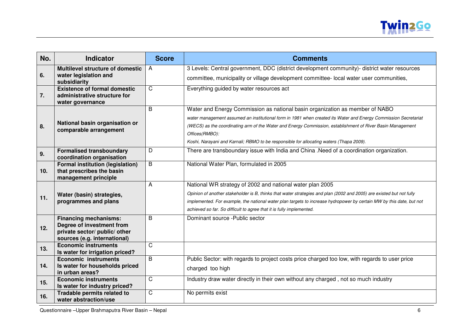

| No.             | <b>Indicator</b>                                            | <b>Score</b> | <b>Comments</b>                                                                                                              |
|-----------------|-------------------------------------------------------------|--------------|------------------------------------------------------------------------------------------------------------------------------|
|                 | <b>Multilevel structure of domestic</b>                     | A            | 3 Levels: Central government, DDC (district development community)- district water resources                                 |
| 6.              | water legislation and<br>subsidiarity                       |              | committee, municipality or village development committee- local water user communities,                                      |
|                 | <b>Existence of formal domestic</b>                         | $\mathsf{C}$ | Everything guided by water resources act                                                                                     |
| 7.              | administrative structure for                                |              |                                                                                                                              |
|                 | water governance                                            | B            | Water and Energy Commission as national basin organization as member of NABO                                                 |
|                 |                                                             |              | water management assumed an institutional form in 1981 when created its Water and Energy Commission Secretariat              |
|                 | National basin organisation or                              |              |                                                                                                                              |
| 8.              | comparable arrangement                                      |              | (WECS) as the coordinating arm of the Water and Energy Commission, establishment of River Basin Management<br>Offices(RMBO): |
|                 |                                                             |              | Koshi, Narayani and Karnali; RBMO to be responsible for allocating waters (Thapa 2009).                                      |
|                 | <b>Formalised transboundary</b>                             | D            | There are transboundary issue with India and China .Need of a coordination organization.                                     |
| 9.              | coordination organisation                                   |              |                                                                                                                              |
|                 | <b>Formal institution (legislation)</b>                     | B            | National Water Plan, formulated in 2005                                                                                      |
| 10 <sub>1</sub> | that prescribes the basin                                   |              |                                                                                                                              |
|                 | management principle                                        |              |                                                                                                                              |
|                 |                                                             | A            | National WR strategy of 2002 and national water plan 2005                                                                    |
| 11.             | Water (basin) strategies,                                   |              | Opinion of another stakeholder is B, thinks that water strategies and plan (2002 and 2005) are existed but not fully         |
|                 | programmes and plans                                        |              | implemented. For example, the national water plan targets to increase hydropower by certain MW by this date, but not         |
|                 |                                                             |              | achieved so far. So difficult to agree that it is fully implemented.                                                         |
|                 | <b>Financing mechanisms:</b>                                | B            | Dominant source - Public sector                                                                                              |
| 12.             | Degree of investment from                                   |              |                                                                                                                              |
|                 | private sector/ public/ other                               |              |                                                                                                                              |
|                 | sources (e.g. international)<br><b>Economic instruments</b> | $\mathsf C$  |                                                                                                                              |
| 13.             | Is water for irrigation priced?                             |              |                                                                                                                              |
|                 | <b>Economic instruments</b>                                 | B            | Public Sector: with regards to project costs price charged too low, with regards to user price                               |
| 14.             | Is water for households priced                              |              | charged too high                                                                                                             |
|                 | in urban areas?                                             |              |                                                                                                                              |
| 15.             | <b>Economic instruments</b>                                 | C            | Industry draw water directly in their own without any charged, not so much industry                                          |
|                 | Is water for industry priced?                               |              |                                                                                                                              |
| 16.             | Tradable permits related to                                 | C            | No permits exist                                                                                                             |
|                 | water abstraction/use                                       |              |                                                                                                                              |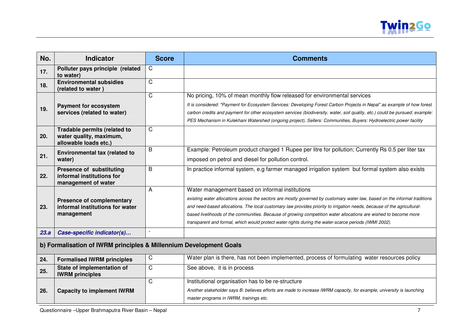

| No.  | <b>Indicator</b>                                                                  | <b>Score</b>   | <b>Comments</b>                                                                                                                                                                                                                                                                                                                                                                                                                                                                                                                       |  |
|------|-----------------------------------------------------------------------------------|----------------|---------------------------------------------------------------------------------------------------------------------------------------------------------------------------------------------------------------------------------------------------------------------------------------------------------------------------------------------------------------------------------------------------------------------------------------------------------------------------------------------------------------------------------------|--|
| 17.  | Polluter pays principle (related<br>to water)                                     | C              |                                                                                                                                                                                                                                                                                                                                                                                                                                                                                                                                       |  |
| 18.  | <b>Environmental subsidies</b><br>(related to water)                              | $\mathsf{C}$   |                                                                                                                                                                                                                                                                                                                                                                                                                                                                                                                                       |  |
| 19.  | <b>Payment for ecosystem</b><br>services (related to water)                       | $\overline{C}$ | No pricing, 10% of mean monthly flow released for environmental services<br>It is considered: "Payment for Ecosystem Services: Developing Forest Carbon Projects in Nepal" as example of how forest<br>carbon credits and payment for other ecosystem services (biodiversity, water, soil quality, etc.) could be pursued; example:<br>PES Mechanism in Kulekhani Watershed (ongoing project), Sellers: Communities, Buyers: Hydroelectric power facility                                                                             |  |
| 20.  | Tradable permits (related to<br>water quality, maximum,<br>allowable loads etc.)  | $\mathsf{C}$   |                                                                                                                                                                                                                                                                                                                                                                                                                                                                                                                                       |  |
| 21.  | <b>Environmental tax (related to</b><br>water)                                    | B              | Example: Petroleum product charged 1 Rupee per litre for pollution; Currently Rs 0.5 per liter tax<br>imposed on petrol and diesel for pollution control.                                                                                                                                                                                                                                                                                                                                                                             |  |
| 22.  | Presence of substituting<br>informal institutions for<br>management of water      | B              | In practice informal system, e.g farmer managed irrigation system but formal system also exists                                                                                                                                                                                                                                                                                                                                                                                                                                       |  |
| 23.  | <b>Presence of complementary</b><br>informal institutions for water<br>management | A              | Water management based on informal institutions<br>existing water allocations across the sectors are mostly governed by customary water law, based on the informal traditions<br>and need-based allocations. The local customary law provides priority to irrigation needs, because of the agricultural-<br>based livelihoods of the communities. Because of growing competition water allocations are wished to become more<br>transparent and formal, which would protect water rights during the water-scarce periods (IWMI 2002). |  |
| 23.a | Case-specific indicator(s)                                                        |                |                                                                                                                                                                                                                                                                                                                                                                                                                                                                                                                                       |  |
|      | b) Formalisation of IWRM principles & Millennium Development Goals                |                |                                                                                                                                                                                                                                                                                                                                                                                                                                                                                                                                       |  |
| 24.  | <b>Formalised IWRM principles</b>                                                 | C              | Water plan is there, has not been implemented, process of formulating water resources policy                                                                                                                                                                                                                                                                                                                                                                                                                                          |  |
| 25.  | State of implementation of<br><b>IWRM</b> principles                              | C              | See above, it is in process                                                                                                                                                                                                                                                                                                                                                                                                                                                                                                           |  |
| 26.  | <b>Capacity to implement IWRM</b>                                                 | $\mathsf{C}$   | Institutional organisation has to be re-structure<br>Another stakeholder says B: believes efforts are made to increase IWRM capacity, for example, university is launching<br>master programs in IWRM, trainings etc.                                                                                                                                                                                                                                                                                                                 |  |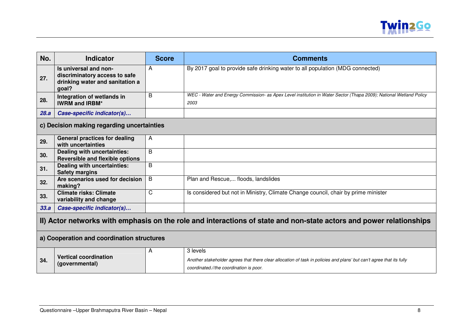

| No.  | <b>Indicator</b>                                                                                                    | <b>Score</b> | <b>Comments</b>                                                                                                                                                             |  |
|------|---------------------------------------------------------------------------------------------------------------------|--------------|-----------------------------------------------------------------------------------------------------------------------------------------------------------------------------|--|
| 27.  | Is universal and non-<br>discriminatory access to safe<br>drinking water and sanitation a<br>goal?                  | А            | By 2017 goal to provide safe drinking water to all population (MDG connected)                                                                                               |  |
| 28.  | Integration of wetlands in<br><b>IWRM and IRBM*</b>                                                                 | B            | WEC - Water and Energy Commission- as Apex Level institution in Water Sector (Thapa 2009); National Wetland Policy<br>2003                                                  |  |
| 28.a | Case-specific indicator(s)                                                                                          |              |                                                                                                                                                                             |  |
|      | c) Decision making regarding uncertainties                                                                          |              |                                                                                                                                                                             |  |
| 29.  | <b>General practices for dealing</b><br>with uncertainties                                                          | A            |                                                                                                                                                                             |  |
| 30.  | Dealing with uncertainties:<br><b>Reversible and flexible options</b>                                               | B            |                                                                                                                                                                             |  |
| 31.  | <b>Dealing with uncertainties:</b><br><b>Safety margins</b>                                                         | B            |                                                                                                                                                                             |  |
| 32.  | Are scenarios used for decision<br>making?                                                                          | B            | Plan and Rescue, floods, landslides                                                                                                                                         |  |
| 33.  | <b>Climate risks: Climate</b><br>variability and change                                                             | C            | Is considered but not in Ministry, Climate Change council, chair by prime minister                                                                                          |  |
| 33.a | Case-specific indicator(s)                                                                                          |              |                                                                                                                                                                             |  |
|      | II) Actor networks with emphasis on the role and interactions of state and non-state actors and power relationships |              |                                                                                                                                                                             |  |
|      | a) Cooperation and coordination structures                                                                          |              |                                                                                                                                                                             |  |
| 34.  | <b>Vertical coordination</b><br>(governmental)                                                                      | A            | 3 levels<br>Another stakeholder agrees that there clear allocation of task in policies and plans' but can't agree that its fully<br>coordinated.//the coordination is poor. |  |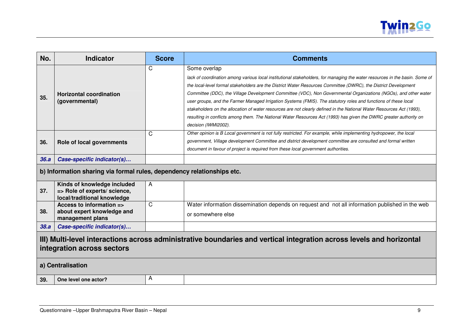

| No.                                                                                                                                                                     | <b>Indicator</b>                                                                           | <b>Score</b> | <b>Comments</b>                                                                                                                                                                                                                                                                                                                                                                                                                                                                                                                                                                                                                                                                                                                                                              |  |
|-------------------------------------------------------------------------------------------------------------------------------------------------------------------------|--------------------------------------------------------------------------------------------|--------------|------------------------------------------------------------------------------------------------------------------------------------------------------------------------------------------------------------------------------------------------------------------------------------------------------------------------------------------------------------------------------------------------------------------------------------------------------------------------------------------------------------------------------------------------------------------------------------------------------------------------------------------------------------------------------------------------------------------------------------------------------------------------------|--|
| 35.                                                                                                                                                                     | <b>Horizontal coordination</b><br>(governmental)                                           | C            | Some overlap<br>lack of coordination among various local institutional stakeholders, for managing the water resources in the basin. Some of<br>the local-level formal stakeholders are the District Water Resources Committee (DWRC), the District Development<br>Committee (DDC), the Village Development Committee (VDC), Non Governmental Organizations (NGOs), and other water<br>user groups, and the Farmer Managed Irrigation Systems (FMIS). The statutory roles and functions of these local<br>stakeholders on the allocation of water resources are not clearly defined in the National Water Resources Act (1993),<br>resulting in conflicts among them. The National Water Resources Act (1993) has given the DWRC greater authority on<br>decision (IWMI2002). |  |
| 36.                                                                                                                                                                     | Role of local governments                                                                  | C            | Other opinion is B Local government is not fully restricted. For example, while implementing hydropower, the local<br>government, Village development Committee and district development committee are consulted and formal written<br>document in favour of project is required from these local government authorities.                                                                                                                                                                                                                                                                                                                                                                                                                                                    |  |
| 36.a                                                                                                                                                                    | Case-specific indicator(s)                                                                 |              |                                                                                                                                                                                                                                                                                                                                                                                                                                                                                                                                                                                                                                                                                                                                                                              |  |
|                                                                                                                                                                         | b) Information sharing via formal rules, dependency relationships etc.                     |              |                                                                                                                                                                                                                                                                                                                                                                                                                                                                                                                                                                                                                                                                                                                                                                              |  |
| 37.                                                                                                                                                                     | Kinds of knowledge included<br>=> Role of experts/ science,<br>local/traditional knowledge | A            |                                                                                                                                                                                                                                                                                                                                                                                                                                                                                                                                                                                                                                                                                                                                                                              |  |
| 38.                                                                                                                                                                     | Access to information =><br>about expert knowledge and<br>management plans                 | C            | Water information dissemination depends on request and not all information published in the web<br>or somewhere else                                                                                                                                                                                                                                                                                                                                                                                                                                                                                                                                                                                                                                                         |  |
| 38.a                                                                                                                                                                    | Case-specific indicator(s)                                                                 |              |                                                                                                                                                                                                                                                                                                                                                                                                                                                                                                                                                                                                                                                                                                                                                                              |  |
| III) Multi-level interactions across administrative boundaries and vertical integration across levels and horizontal<br>integration across sectors<br>a) Centralisation |                                                                                            |              |                                                                                                                                                                                                                                                                                                                                                                                                                                                                                                                                                                                                                                                                                                                                                                              |  |
| 39.                                                                                                                                                                     | One level one actor?                                                                       | Α            |                                                                                                                                                                                                                                                                                                                                                                                                                                                                                                                                                                                                                                                                                                                                                                              |  |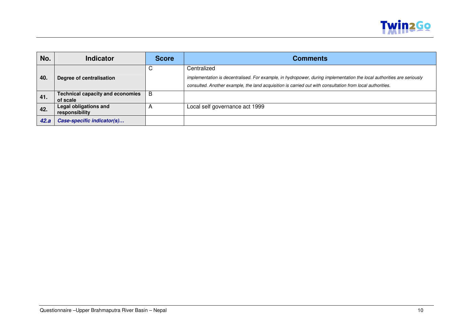

| No.  | <b>Indicator</b>                                    | <b>Score</b> | <b>Comments</b>                                                                                                                                                                                                                                    |
|------|-----------------------------------------------------|--------------|----------------------------------------------------------------------------------------------------------------------------------------------------------------------------------------------------------------------------------------------------|
| 40.  | Degree of centralisation                            | U            | Centralized<br>implementation is decentralised. For example, in hydropower, during implementation the local authorities are seriously<br>consulted. Another example, the land acquisition is carried out with consultation from local authorities. |
| 41.  | <b>Technical capacity and economies</b><br>of scale | В            |                                                                                                                                                                                                                                                    |
| 42.  | <b>Legal obligations and</b><br>responsibility      |              | Local self governance act 1999                                                                                                                                                                                                                     |
| 42.a | Case-specific indicator(s)                          |              |                                                                                                                                                                                                                                                    |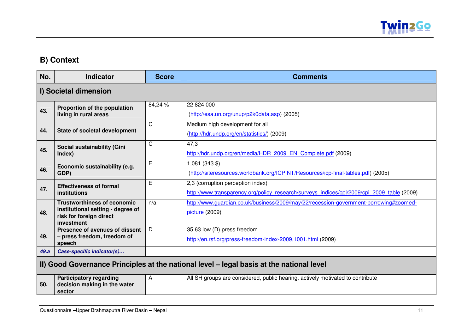

# **B) Context**

| No.  | <b>Indicator</b>                                                                                                 | <b>Score</b> | <b>Comments</b>                                                                                                                 |
|------|------------------------------------------------------------------------------------------------------------------|--------------|---------------------------------------------------------------------------------------------------------------------------------|
|      | I) Societal dimension                                                                                            |              |                                                                                                                                 |
| 43.  | Proportion of the population<br>living in rural areas                                                            | 84,24 %      | 22 824 000<br>(http://esa.un.org/unup/p2k0data.asp) (2005)                                                                      |
| 44.  | State of societal development                                                                                    | $\mathsf{C}$ | Medium high development for all<br>(http://hdr.undp.org/en/statistics/) (2009)                                                  |
| 45.  | Social sustainability (Gini<br>Index)                                                                            | $\mathsf{C}$ | 47,3<br>http://hdr.undp.org/en/media/HDR 2009 EN Complete.pdf (2009)                                                            |
| 46.  | Economic sustainability (e.g.<br>GDP)                                                                            | E            | $1,081$ (343 \$)<br>(http://siteresources.worldbank.org/ICPINT/Resources/icp-final-tables.pdf) (2005)                           |
| 47.  | <b>Effectiveness of formal</b><br><b>institutions</b>                                                            | Е            | 2,3 (corruption perception index)<br>http://www.transparency.org/policy research/surveys indices/cpi/2009/cpi 2009 table (2009) |
| 48.  | <b>Trustworthiness of economic</b><br>institutional setting - degree of<br>risk for foreign direct<br>investment | n/a          | http://www.quardian.co.uk/business/2009/may/22/recession-government-borrowing#zoomed-<br>picture (2009)                         |
| 49.  | Presence of avenues of dissent<br>- press freedom, freedom of<br>speech                                          | D            | 35.63 low (D) press freedom<br>http://en.rsf.org/press-freedom-index-2009,1001.html (2009)                                      |
| 49.a | Case-specific indicator(s)                                                                                       |              |                                                                                                                                 |
|      | II) Good Governance Principles at the national level - legal basis at the national level                         |              |                                                                                                                                 |
| 50.  | <b>Participatory regarding</b><br>decision making in the water<br>sector                                         | A            | All SH groups are considered, public hearing, actively motivated to contribute                                                  |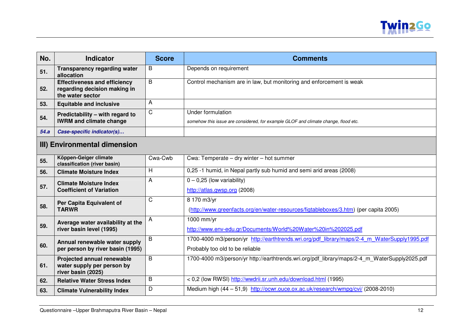

| No.  | <b>Indicator</b>                                                                        | <b>Score</b> | <b>Comments</b>                                                                                                                 |
|------|-----------------------------------------------------------------------------------------|--------------|---------------------------------------------------------------------------------------------------------------------------------|
| 51.  | <b>Transparency regarding water</b><br>allocation                                       | B            | Depends on requirement                                                                                                          |
| 52.  | <b>Effectiveness and efficiency</b><br>regarding decision making in<br>the water sector | B            | Control mechanism are in law, but monitoring and enforcement is weak                                                            |
| 53.  | <b>Equitable and inclusive</b>                                                          | A            |                                                                                                                                 |
| 54.  | Predictability - with regard to<br><b>IWRM and climate change</b>                       | C            | Under formulation<br>somehow this issue are considered, for example GLOF and climate change, flood etc.                         |
| 54.a | Case-specific indicator(s)                                                              |              |                                                                                                                                 |
|      | III) Environmental dimension                                                            |              |                                                                                                                                 |
| 55.  | Köppen-Geiger climate<br>classification (river basin)                                   | Cwa-Cwb      | Cwa: Temperate - dry winter - hot summer                                                                                        |
| 56.  | <b>Climate Moisture Index</b>                                                           | H            | 0,25 -1 humid, in Nepal partly sub humid and semi arid areas (2008)                                                             |
| 57.  | <b>Climate Moisture Index</b><br><b>Coefficient of Variation</b>                        | А            | $0 - 0,25$ (low variability)<br>http://atlas.gwsp.org (2008)                                                                    |
| 58.  | Per Capita Equivalent of<br><b>TARWR</b>                                                | С            | 8 170 m3/yr<br>(http://www.greenfacts.org/en/water-resources/figtableboxes/3.htm) (per capita 2005)                             |
| 59.  | Average water availability at the<br>river basin level (1995)                           | A            | 1000 mm/yr<br>http://www.env-edu.gr/Documents/World%20Water%20in%202025.pdf                                                     |
| 60.  | Annual renewable water supply<br>per person by river basin (1995)                       | B            | 1700-4000 m3/person/yr http://earthtrends.wri.org/pdf library/maps/2-4 m WaterSupply1995.pdf<br>Probably too old to be reliable |
| 61.  | <b>Projected annual renewable</b><br>water supply per person by<br>river basin (2025)   | B            | 1700-4000 m3/person/yr http://earthtrends.wri.org/pdf library/maps/2-4 m WaterSupply2025.pdf                                    |
| 62.  | <b>Relative Water Stress Index</b>                                                      | B            | < 0,2 (low RWSI) http://wwdrii.sr.unh.edu/download.html (1995)                                                                  |
| 63.  | <b>Climate Vulnerability Index</b>                                                      | D            | Medium high (44 - 51,9) http://ocwr.ouce.ox.ac.uk/research/wmpg/cvi/ (2008-2010)                                                |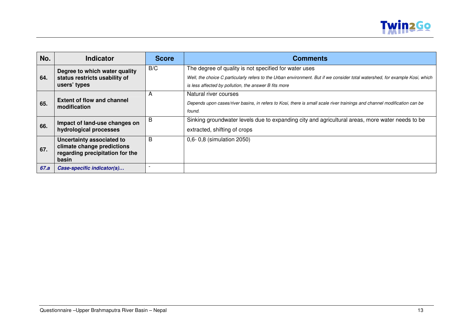

| No.  | <b>Indicator</b>                                                                                    | <b>Score</b> | <b>Comments</b>                                                                                                                                                                                                                                |
|------|-----------------------------------------------------------------------------------------------------|--------------|------------------------------------------------------------------------------------------------------------------------------------------------------------------------------------------------------------------------------------------------|
| 64.  | Degree to which water quality<br>status restricts usability of<br>users' types                      | B/C          | The degree of quality is not specified for water uses<br>Well, the choice C particularly refers to the Urban environment. But if we consider total watershed, for example Kosi, which<br>is less affected by pollution, the answer B fits more |
| 65.  | <b>Extent of flow and channel</b><br>modification                                                   | A            | Natural river courses<br>Depends upon cases/river basins, in refers to Kosi, there is small scale river trainings and channel modification can be<br>found.                                                                                    |
| 66.  | Impact of land-use changes on<br>hydrological processes                                             | B            | Sinking groundwater levels due to expanding city and agricultural areas, more water needs to be<br>extracted, shifting of crops                                                                                                                |
| 67.  | Uncertainty associated to<br>climate change predictions<br>regarding precipitation for the<br>basin | B            | 0,6- 0,8 (simulation 2050)                                                                                                                                                                                                                     |
| 67.a | Case-specific indicator(s)                                                                          |              |                                                                                                                                                                                                                                                |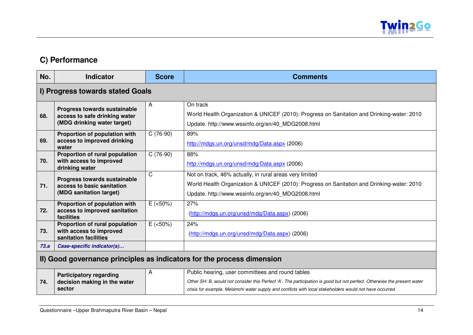

# **C) Performance**

| No.  | <b>Indicator</b>                                                                             | <b>Score</b> | <b>Comments</b>                                                                                                                                                                                                                                                                          |  |
|------|----------------------------------------------------------------------------------------------|--------------|------------------------------------------------------------------------------------------------------------------------------------------------------------------------------------------------------------------------------------------------------------------------------------------|--|
|      | I) Progress towards stated Goals                                                             |              |                                                                                                                                                                                                                                                                                          |  |
| 68.  | Progress towards sustainable<br>access to safe drinking water<br>(MDG drinking water target) | A            | On track<br>World Health Organization & UNICEF (2010): Progress on Sanitation and Drinking-water: 2010<br>Update. http://www.wssinfo.org/en/40_MDG2008.html                                                                                                                              |  |
| 69.  | Proportion of population with<br>access to improved drinking<br>water                        | $C(76-90)$   | 89%<br>http://mdgs.un.org/unsd/mdg/Data.aspx (2006)                                                                                                                                                                                                                                      |  |
| 70.  | Proportion of rural population<br>with access to improved<br>drinking water                  | $C(76-90)$   | 88%<br>http://mdgs.un.org/unsd/mdg/Data.aspx (2006)                                                                                                                                                                                                                                      |  |
| 71.  | Progress towards sustainable<br>access to basic sanitation<br>(MDG sanitation target)        | $\mathsf{C}$ | Not on track, 46% actually, in rural areas very limited<br>World Health Organization & UNICEF (2010): Progress on Sanitation and Drinking-water: 2010<br>Update. http://www.wssinfo.org/en/40 MDG2008.html                                                                               |  |
| 72.  | Proportion of population with<br>access to improved sanitation<br>facilities                 | $E$ (<50%)   | 27%<br>(http://mdgs.un.org/unsd/mdg/Data.aspx) (2006)                                                                                                                                                                                                                                    |  |
| 73.  | Proportion of rural population<br>with access to improved<br>sanitation facilities           | $E$ (<50%)   | 24%<br>(http://mdgs.un.org/unsd/mdg/Data.aspx) (2006)                                                                                                                                                                                                                                    |  |
| 73.a | Case-specific indicator(s)                                                                   |              |                                                                                                                                                                                                                                                                                          |  |
|      | II) Good governance principles as indicators for the process dimension                       |              |                                                                                                                                                                                                                                                                                          |  |
| 74.  | <b>Participatory regarding</b><br>decision making in the water<br>sector                     | A            | Public hearing, user committees and round tables<br>Other SH: B, would not consider this Perfect 'A'. The participation is good but not perfect. Otherwise the present water<br>crisis for example, Melamchi water supply and conflicts with local stakeholders would not have occurred. |  |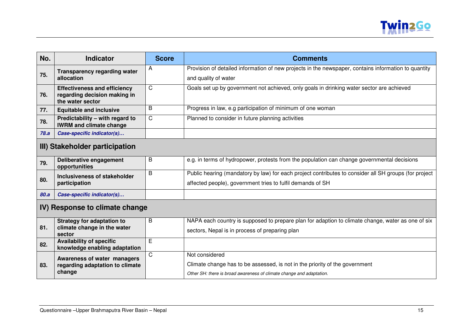

| No.  | <b>Indicator</b>                                                  | <b>Score</b> | <b>Comments</b>                                                                                       |  |
|------|-------------------------------------------------------------------|--------------|-------------------------------------------------------------------------------------------------------|--|
| 75.  | <b>Transparency regarding water</b>                               | A            | Provision of detailed information of new projects in the newspaper, contains information to quantity  |  |
|      | allocation                                                        |              | and quality of water                                                                                  |  |
| 76.  | <b>Effectiveness and efficiency</b>                               | C            | Goals set up by government not achieved, only goals in drinking water sector are achieved             |  |
|      | regarding decision making in<br>the water sector                  |              |                                                                                                       |  |
| 77.  | <b>Equitable and inclusive</b>                                    | B            | Progress in law, e.g participation of minimum of one woman                                            |  |
| 78.  | Predictability - with regard to<br><b>IWRM and climate change</b> | C            | Planned to consider in future planning activities                                                     |  |
| 78.a | Case-specific indicator(s)                                        |              |                                                                                                       |  |
|      | III) Stakeholder participation                                    |              |                                                                                                       |  |
| 79.  | Deliberative engagement<br>opportunities                          | B            | e.g. in terms of hydropower, protests from the population can change governmental decisions           |  |
| 80.  | Inclusiveness of stakeholder                                      | B            | Public hearing (mandatory by law) for each project contributes to consider all SH groups (for project |  |
|      | participation                                                     |              | affected people), government tries to fulfil demands of SH                                            |  |
| 80.a | Case-specific indicator(s)                                        |              |                                                                                                       |  |
|      | IV) Response to climate change                                    |              |                                                                                                       |  |
| 81.  | <b>Strategy for adaptation to</b>                                 | B            | NAPA each country is supposed to prepare plan for adaption to climate change, water as one of six     |  |
|      | climate change in the water<br>sector                             |              | sectors, Nepal is in process of preparing plan                                                        |  |
| 82.  | <b>Availability of specific</b><br>knowledge enabling adaptation  | E            |                                                                                                       |  |
|      | Awareness of water managers                                       | C.           | Not considered                                                                                        |  |
| 83.  | regarding adaptation to climate                                   |              | Climate change has to be assessed, is not in the priority of the government                           |  |
|      | change                                                            |              | Other SH: there is broad awareness of climate change and adaptation.                                  |  |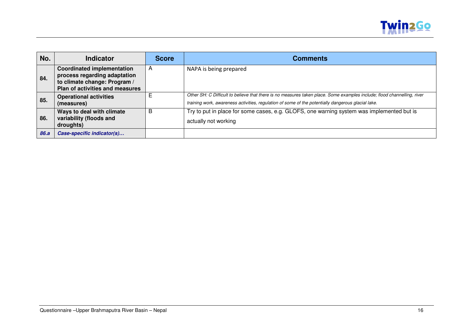

| No.  | Indicator                                                                                                                            | <b>Score</b>   | <b>Comments</b>                                                                                                                                                                                                               |
|------|--------------------------------------------------------------------------------------------------------------------------------------|----------------|-------------------------------------------------------------------------------------------------------------------------------------------------------------------------------------------------------------------------------|
| 84.  | <b>Coordinated implementation</b><br>process regarding adaptation<br>to climate change: Program /<br>Plan of activities and measures | $\overline{A}$ | NAPA is being prepared                                                                                                                                                                                                        |
| 85.  | <b>Operational activities</b><br>(measures)                                                                                          |                | Other SH: C Difficult to believe that there is no measures taken place. Some examples include; flood channelling, river<br>training work, awareness activities, regulation of some of the potentially dangerous glacial lake. |
| 86.  | Ways to deal with climate<br>variability (floods and<br>droughts)                                                                    | B              | Try to put in place for some cases, e.g. GLOFS, one warning system was implemented but is<br>actually not working                                                                                                             |
| 86.a | Case-specific indicator(s)                                                                                                           |                |                                                                                                                                                                                                                               |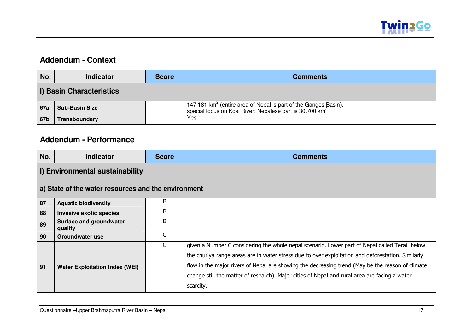

## **Addendum - Context**

| No.                             | <b>Indicator</b>      | <b>Score</b> | <b>Comments</b>                                                                                                                                  |  |  |
|---------------------------------|-----------------------|--------------|--------------------------------------------------------------------------------------------------------------------------------------------------|--|--|
| <b>I) Basin Characteristics</b> |                       |              |                                                                                                                                                  |  |  |
| 67a                             | <b>Sub-Basin Size</b> |              | 147,181 km <sup>2</sup> (entire area of Nepal is part of the Ganges Basin), special focus on Kosi River: Nepalese part is 30,700 km <sup>2</sup> |  |  |
| 67b                             | Transboundary         |              | Yes                                                                                                                                              |  |  |

## **Addendum - Performance**

| No.                                                 | <b>Indicator</b>                      | <b>Score</b> | <b>Comments</b>                                                                                                                                                                                                                                                                                                                                                                                                      |  |  |  |
|-----------------------------------------------------|---------------------------------------|--------------|----------------------------------------------------------------------------------------------------------------------------------------------------------------------------------------------------------------------------------------------------------------------------------------------------------------------------------------------------------------------------------------------------------------------|--|--|--|
| I) Environmental sustainability                     |                                       |              |                                                                                                                                                                                                                                                                                                                                                                                                                      |  |  |  |
| a) State of the water resources and the environment |                                       |              |                                                                                                                                                                                                                                                                                                                                                                                                                      |  |  |  |
| 87                                                  | <b>Aquatic biodiversity</b>           | B            |                                                                                                                                                                                                                                                                                                                                                                                                                      |  |  |  |
| 88                                                  | <b>Invasive exotic species</b>        | B            |                                                                                                                                                                                                                                                                                                                                                                                                                      |  |  |  |
| 89                                                  | Surface and groundwater<br>quality    | B            |                                                                                                                                                                                                                                                                                                                                                                                                                      |  |  |  |
| 90                                                  | Groundwater use                       | C            |                                                                                                                                                                                                                                                                                                                                                                                                                      |  |  |  |
| 91                                                  | <b>Water Exploitation Index (WEI)</b> | C            | given a Number C considering the whole nepal scenario. Lower part of Nepal called Terai below<br>the churiya range areas are in water stress due to over exploitation and deforestation. Similarly<br>flow in the major rivers of Nepal are showing the decreasing trend (May be the reason of climate<br>change still the matter of research). Major cities of Nepal and rural area are facing a water<br>scarcity. |  |  |  |